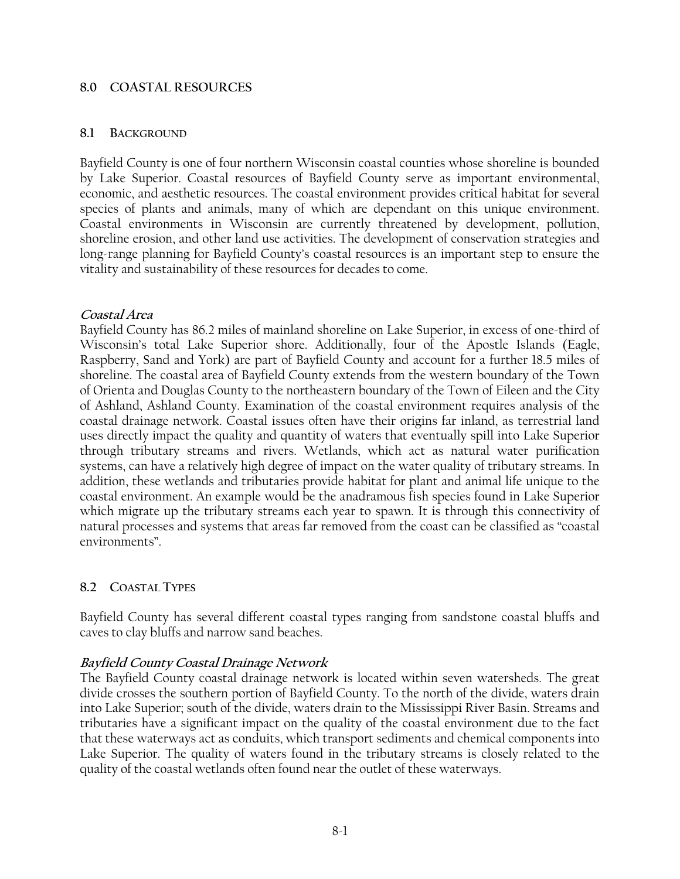#### **8.0 COASTAL RESOURCES**

#### **8.1 BACKGROUND**

Bayfield County is one of four northern Wisconsin coastal counties whose shoreline is bounded by Lake Superior. Coastal resources of Bayfield County serve as important environmental, economic, and aesthetic resources. The coastal environment provides critical habitat for several species of plants and animals, many of which are dependant on this unique environment. Coastal environments in Wisconsin are currently threatened by development, pollution, shoreline erosion, and other land use activities. The development of conservation strategies and long-range planning for Bayfield County's coastal resources is an important step to ensure the vitality and sustainability of these resources for decades to come.

#### **Coastal Area**

Bayfield County has 86.2 miles of mainland shoreline on Lake Superior, in excess of one-third of Wisconsin's total Lake Superior shore. Additionally, four of the Apostle Islands (Eagle, Raspberry, Sand and York) are part of Bayfield County and account for a further 18.5 miles of shoreline. The coastal area of Bayfield County extends from the western boundary of the Town of Orienta and Douglas County to the northeastern boundary of the Town of Eileen and the City of Ashland, Ashland County. Examination of the coastal environment requires analysis of the coastal drainage network. Coastal issues often have their origins far inland, as terrestrial land uses directly impact the quality and quantity of waters that eventually spill into Lake Superior through tributary streams and rivers. Wetlands, which act as natural water purification systems, can have a relatively high degree of impact on the water quality of tributary streams. In addition, these wetlands and tributaries provide habitat for plant and animal life unique to the coastal environment. An example would be the anadramous fish species found in Lake Superior which migrate up the tributary streams each year to spawn. It is through this connectivity of natural processes and systems that areas far removed from the coast can be classified as "coastal environments".

# **8.2 COASTAL TYPES**

Bayfield County has several different coastal types ranging from sandstone coastal bluffs and caves to clay bluffs and narrow sand beaches.

# **Bayfield County Coastal Drainage Network**

The Bayfield County coastal drainage network is located within seven watersheds. The great divide crosses the southern portion of Bayfield County. To the north of the divide, waters drain into Lake Superior; south of the divide, waters drain to the Mississippi River Basin. Streams and tributaries have a significant impact on the quality of the coastal environment due to the fact that these waterways act as conduits, which transport sediments and chemical components into Lake Superior. The quality of waters found in the tributary streams is closely related to the quality of the coastal wetlands often found near the outlet of these waterways.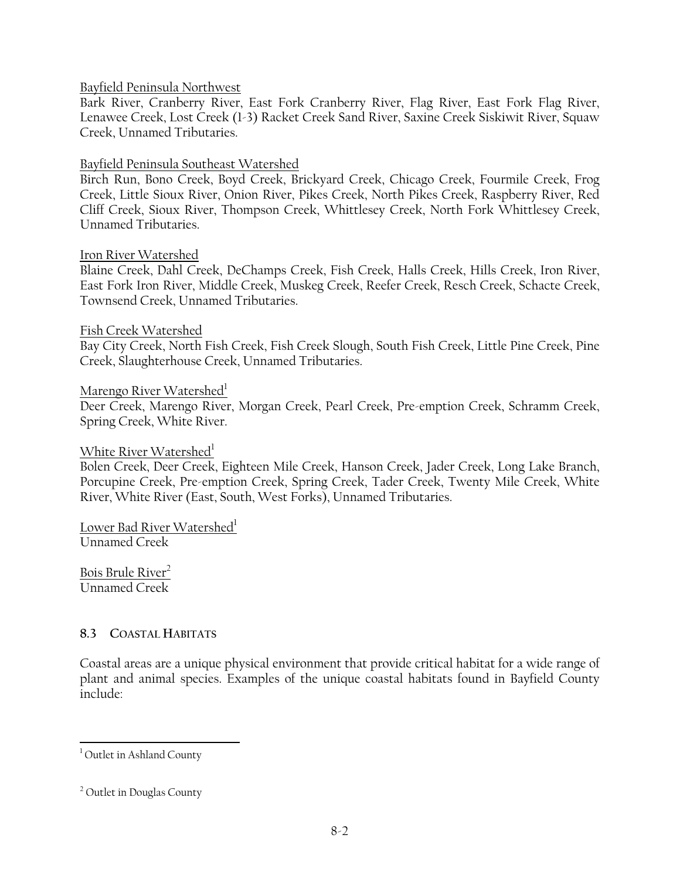#### Bayfield Peninsula Northwest

Bark River, Cranberry River, East Fork Cranberry River, Flag River, East Fork Flag River, Lenawee Creek, Lost Creek (1-3) Racket Creek Sand River, Saxine Creek Siskiwit River, Squaw Creek, Unnamed Tributaries.

# Bayfield Peninsula Southeast Watershed

Birch Run, Bono Creek, Boyd Creek, Brickyard Creek, Chicago Creek, Fourmile Creek, Frog Creek, Little Sioux River, Onion River, Pikes Creek, North Pikes Creek, Raspberry River, Red Cliff Creek, Sioux River, Thompson Creek, Whittlesey Creek, North Fork Whittlesey Creek, Unnamed Tributaries.

#### Iron River Watershed

Blaine Creek, Dahl Creek, DeChamps Creek, Fish Creek, Halls Creek, Hills Creek, Iron River, East Fork Iron River, Middle Creek, Muskeg Creek, Reefer Creek, Resch Creek, Schacte Creek, Townsend Creek, Unnamed Tributaries.

#### Fish Creek Watershed

Bay City Creek, North Fish Creek, Fish Creek Slough, South Fish Creek, Little Pine Creek, Pine Creek, Slaughterhouse Creek, Unnamed Tributaries.

#### Marengo River Watershed<sup>1</sup>

Deer Creek, Marengo River, Morgan Creek, Pearl Creek, Pre-emption Creek, Schramm Creek, Spring Creek, White River.

#### White River Watershed<sup>1</sup>

Bolen Creek, Deer Creek, Eighteen Mile Creek, Hanson Creek, Jader Creek, Long Lake Branch, Porcupine Creek, Pre-emption Creek, Spring Creek, Tader Creek, Twenty Mile Creek, White River, White River (East, South, West Forks), Unnamed Tributaries.

Lower Bad River Watershed<sup>1</sup> Unnamed Creek

Bois Brule River<sup>2</sup> Unnamed Creek

#### **8.3 COASTAL HABITATS**

Coastal areas are a unique physical environment that provide critical habitat for a wide range of plant and animal species. Examples of the unique coastal habitats found in Bayfield County include:

 1 Outlet in Ashland County

<sup>&</sup>lt;sup>2</sup> Outlet in Douglas County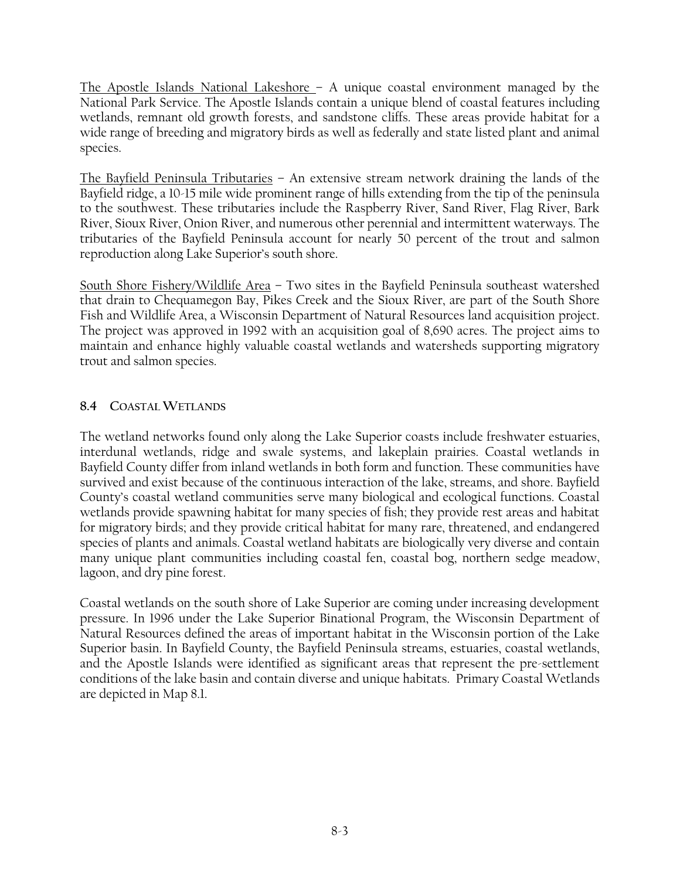The Apostle Islands National Lakeshore – A unique coastal environment managed by the National Park Service. The Apostle Islands contain a unique blend of coastal features including wetlands, remnant old growth forests, and sandstone cliffs. These areas provide habitat for a wide range of breeding and migratory birds as well as federally and state listed plant and animal species.

The Bayfield Peninsula Tributaries – An extensive stream network draining the lands of the Bayfield ridge, a 10-15 mile wide prominent range of hills extending from the tip of the peninsula to the southwest. These tributaries include the Raspberry River, Sand River, Flag River, Bark River, Sioux River, Onion River, and numerous other perennial and intermittent waterways. The tributaries of the Bayfield Peninsula account for nearly 50 percent of the trout and salmon reproduction along Lake Superior's south shore.

South Shore Fishery/Wildlife Area – Two sites in the Bayfield Peninsula southeast watershed that drain to Chequamegon Bay, Pikes Creek and the Sioux River, are part of the South Shore Fish and Wildlife Area, a Wisconsin Department of Natural Resources land acquisition project. The project was approved in 1992 with an acquisition goal of 8,690 acres. The project aims to maintain and enhance highly valuable coastal wetlands and watersheds supporting migratory trout and salmon species.

# **8.4 COASTAL WETLANDS**

The wetland networks found only along the Lake Superior coasts include freshwater estuaries, interdunal wetlands, ridge and swale systems, and lakeplain prairies. Coastal wetlands in Bayfield County differ from inland wetlands in both form and function. These communities have survived and exist because of the continuous interaction of the lake, streams, and shore. Bayfield County's coastal wetland communities serve many biological and ecological functions. Coastal wetlands provide spawning habitat for many species of fish; they provide rest areas and habitat for migratory birds; and they provide critical habitat for many rare, threatened, and endangered species of plants and animals. Coastal wetland habitats are biologically very diverse and contain many unique plant communities including coastal fen, coastal bog, northern sedge meadow, lagoon, and dry pine forest.

Coastal wetlands on the south shore of Lake Superior are coming under increasing development pressure. In 1996 under the Lake Superior Binational Program, the Wisconsin Department of Natural Resources defined the areas of important habitat in the Wisconsin portion of the Lake Superior basin. In Bayfield County, the Bayfield Peninsula streams, estuaries, coastal wetlands, and the Apostle Islands were identified as significant areas that represent the pre-settlement conditions of the lake basin and contain diverse and unique habitats. Primary Coastal Wetlands are depicted in Map 8.1.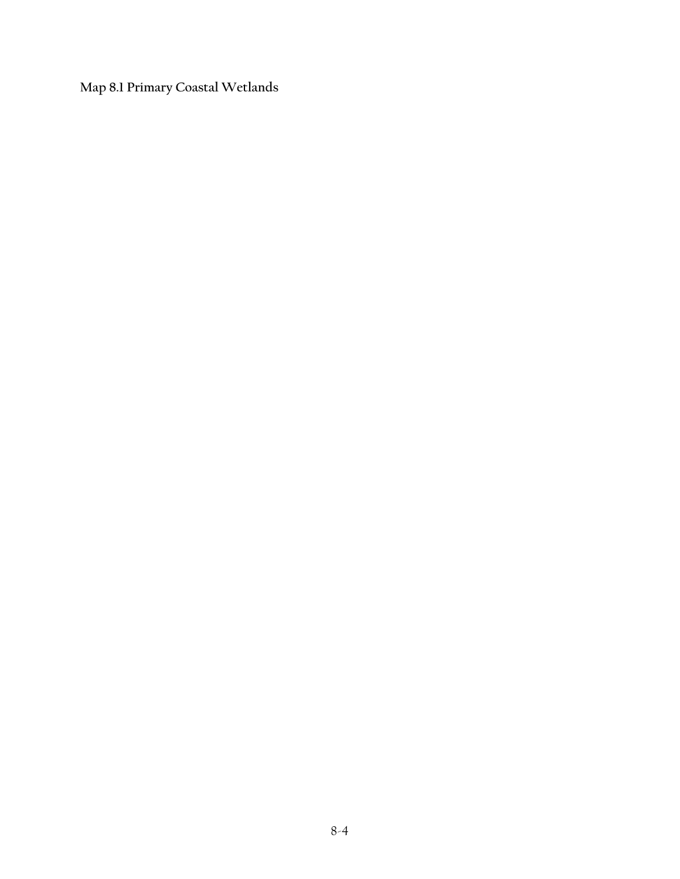**Map 8.1 Primary Coastal Wetlands**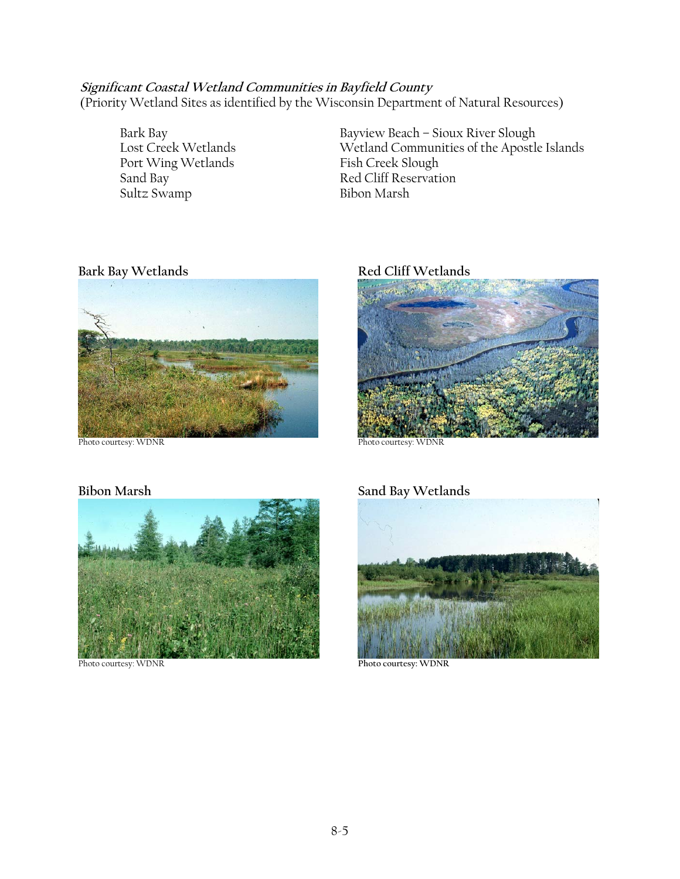# **Significant Coastal Wetland Communities in Bayfield County**  (Priority Wetland Sites as identified by the Wisconsin Department of Natural Resources)

Port Wing Wetlands<br>Sand Bay Sultz Swamp

Bark Bay<br>
Bayview Beach – Sioux River Slough<br>
Lost Creek Wetlands<br>
Wetland Communities of the Apostle Wetland Communities of the Apostle Islands<br>Fish Creek Slough Red Cliff Reservation<br>Bibon Marsh

# **Bark Bay Wetlands**



Photo courtesy: WDNR

# **Red Cliff Wetlands**



Photo courtesy: WDNR

# **Bibon Marsh**



# **Sand Bay Wetlands**



**Photo courtesy: WDNR**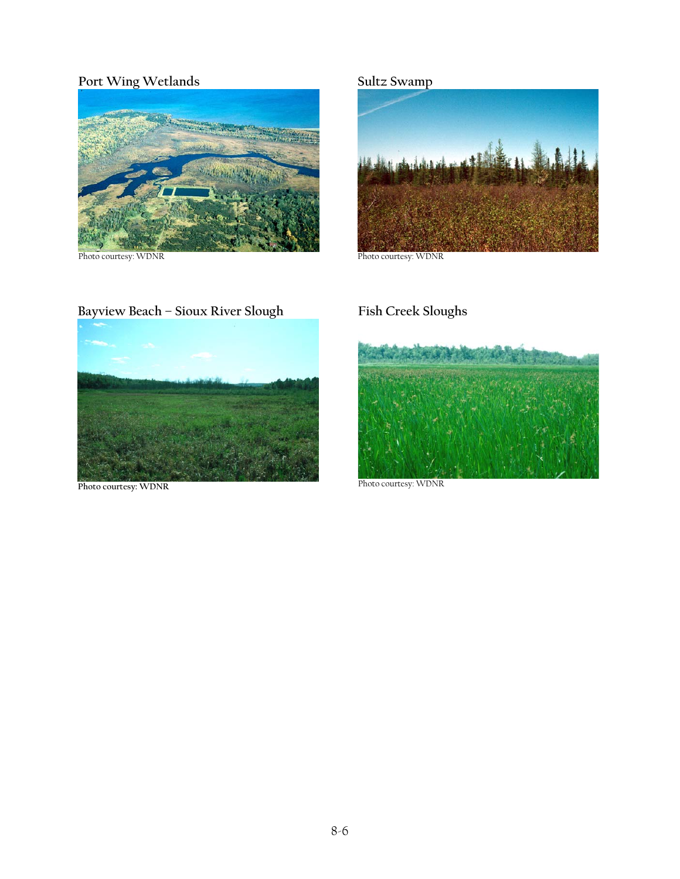# **Port Wing Wetlands**



Photo courtesy: WDNR

# **Sultz Swamp**



Photo courtesy: WDNR

# **Bayview Beach – Sioux River Slough**

**Photo courtesy: WDNR**

# **Fish Creek Sloughs**



Photo courtesy: WDNR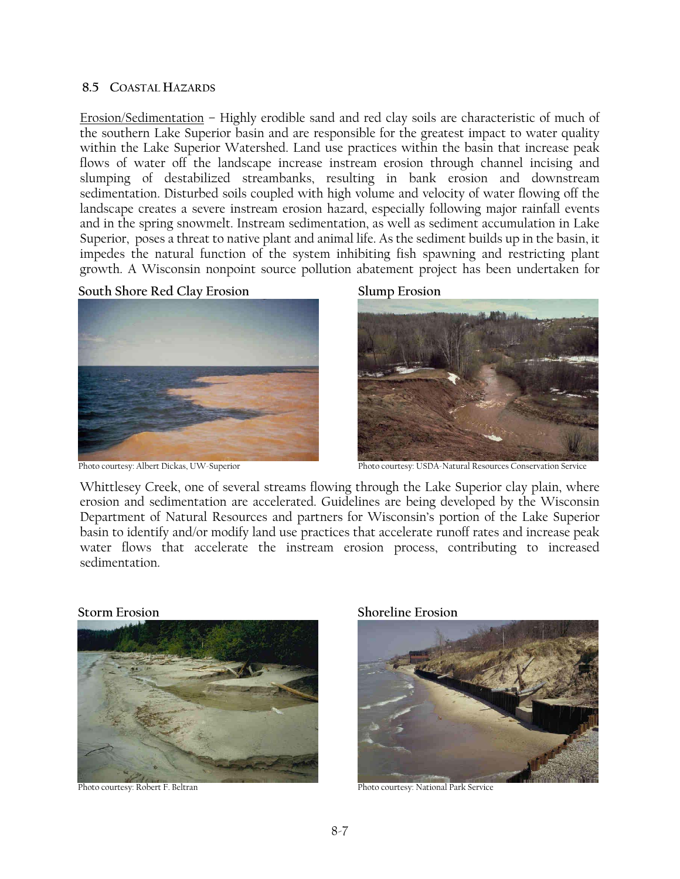#### **8.5 COASTAL HAZARDS**

Erosion/Sedimentation – Highly erodible sand and red clay soils are characteristic of much of the southern Lake Superior basin and are responsible for the greatest impact to water quality within the Lake Superior Watershed. Land use practices within the basin that increase peak flows of water off the landscape increase instream erosion through channel incising and slumping of destabilized streambanks, resulting in bank erosion and downstream sedimentation. Disturbed soils coupled with high volume and velocity of water flowing off the landscape creates a severe instream erosion hazard, especially following major rainfall events and in the spring snowmelt. Instream sedimentation, as well as sediment accumulation in Lake Superior, poses a threat to native plant and animal life. As the sediment builds up in the basin, it impedes the natural function of the system inhibiting fish spawning and restricting plant growth. A Wisconsin nonpoint source pollution abatement project has been undertaken for

**South Shore Red Clay Erosion** 



Photo courtesy: Albert Dickas, UW-Superior

**Slump Erosion** 



Photo courtesy: USDA-Natural Resources Conservation Service

Whittlesey Creek, one of several streams flowing through the Lake Superior clay plain, where erosion and sedimentation are accelerated. Guidelines are being developed by the Wisconsin Department of Natural Resources and partners for Wisconsin's portion of the Lake Superior basin to identify and/or modify land use practices that accelerate runoff rates and increase peak water flows that accelerate the instream erosion process, contributing to increased sedimentation.



Photo courtesy: Robert F. Beltran

**Shoreline Erosion** 



Photo courtesy: National Park Service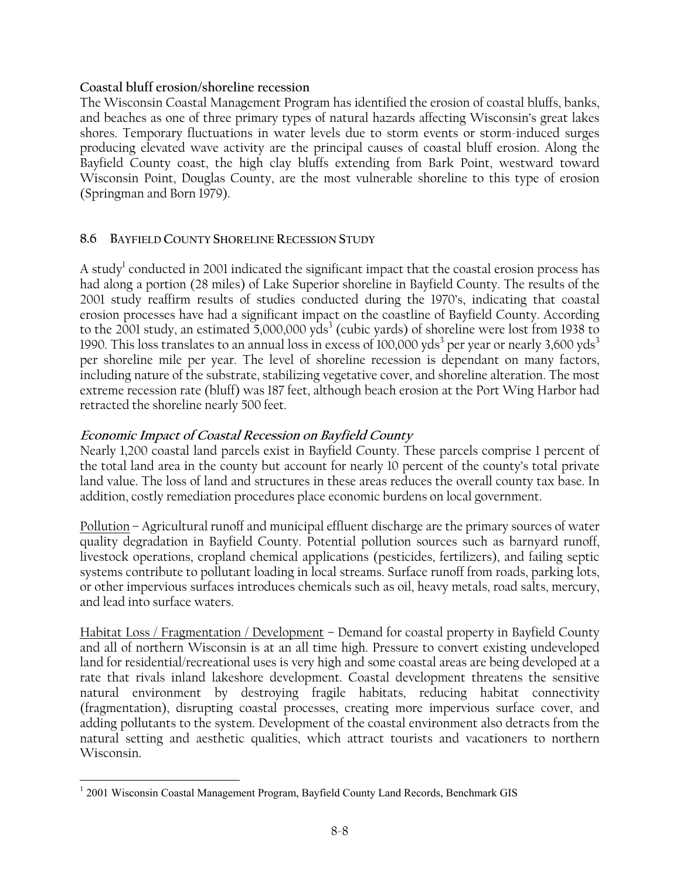# **Coastal bluff erosion/shoreline recession**

The Wisconsin Coastal Management Program has identified the erosion of coastal bluffs, banks, and beaches as one of three primary types of natural hazards affecting Wisconsin's great lakes shores. Temporary fluctuations in water levels due to storm events or storm-induced surges producing elevated wave activity are the principal causes of coastal bluff erosion. Along the Bayfield County coast, the high clay bluffs extending from Bark Point, westward toward Wisconsin Point, Douglas County, are the most vulnerable shoreline to this type of erosion (Springman and Born 1979).

# **8.6 BAYFIELD COUNTY SHORELINE RECESSION STUDY**

A study $^{\rm l}$  conducted in 2001 indicated the significant impact that the coastal erosion process has had along a portion (28 miles) of Lake Superior shoreline in Bayfield County. The results of the 2001 study reaffirm results of studies conducted during the 1970's, indicating that coastal erosion processes have had a significant impact on the coastline of Bayfield County. According to the 2001 study, an estimated 5,000,000  $yds<sup>3</sup>$  (cubic yards) of shoreline were lost from 1938 to 1990. This loss translates to an annual loss in excess of 100,000 yds<sup>3</sup> per year or nearly 3,600 yds<sup>3</sup> per shoreline mile per year. The level of shoreline recession is dependant on many factors, including nature of the substrate, stabilizing vegetative cover, and shoreline alteration. The most extreme recession rate (bluff) was 187 feet, although beach erosion at the Port Wing Harbor had retracted the shoreline nearly 500 feet.

# **Economic Impact of Coastal Recession on Bayfield County**

Nearly 1,200 coastal land parcels exist in Bayfield County. These parcels comprise 1 percent of the total land area in the county but account for nearly 10 percent of the county's total private land value. The loss of land and structures in these areas reduces the overall county tax base. In addition, costly remediation procedures place economic burdens on local government.

Pollution – Agricultural runoff and municipal effluent discharge are the primary sources of water quality degradation in Bayfield County. Potential pollution sources such as barnyard runoff, livestock operations, cropland chemical applications (pesticides, fertilizers), and failing septic systems contribute to pollutant loading in local streams. Surface runoff from roads, parking lots, or other impervious surfaces introduces chemicals such as oil, heavy metals, road salts, mercury, and lead into surface waters.

Habitat Loss / Fragmentation / Development – Demand for coastal property in Bayfield County and all of northern Wisconsin is at an all time high. Pressure to convert existing undeveloped land for residential/recreational uses is very high and some coastal areas are being developed at a rate that rivals inland lakeshore development. Coastal development threatens the sensitive natural environment by destroying fragile habitats, reducing habitat connectivity (fragmentation), disrupting coastal processes, creating more impervious surface cover, and adding pollutants to the system. Development of the coastal environment also detracts from the natural setting and aesthetic qualities, which attract tourists and vacationers to northern Wisconsin.

<u>.</u>

<sup>&</sup>lt;sup>1</sup> 2001 Wisconsin Coastal Management Program, Bayfield County Land Records, Benchmark GIS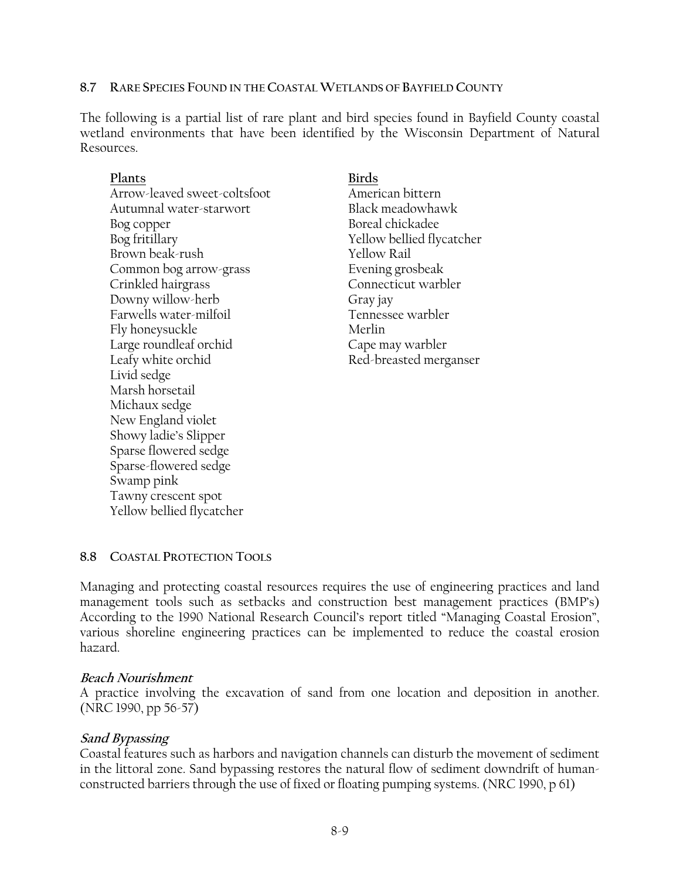#### **8.7 RARE SPECIES FOUND IN THE COASTAL WETLANDS OF BAYFIELD COUNTY**

The following is a partial list of rare plant and bird species found in Bayfield County coastal wetland environments that have been identified by the Wisconsin Department of Natural Resources.

# Plants Birds Arrow-leaved sweet-coltsfoot American bittern Autumnal water-starwort black meadowhawk Bog copper Boreal chickadee Bog fritillary Yellow bellied flycatcher Brown beak-rush Yellow Rail Common bog arrow-grass Evening grosbeak Crinkled hairgrass Connecticut warbler Downy willow-herb Gray jay Farwells water-milfoil Tennessee warbler Fly honeysuckle Merlin Large roundleaf orchid Cape may warbler Leafy white orchid Red-breasted merganser Livid sedge Marsh horsetail Michaux sedge New England violet Showy ladie's Slipper Sparse flowered sedge Sparse-flowered sedge Swamp pink Tawny crescent spot

# **8.8 COASTAL PROTECTION TOOLS**

Yellow bellied flycatcher

Managing and protecting coastal resources requires the use of engineering practices and land management tools such as setbacks and construction best management practices (BMP's) According to the 1990 National Research Council's report titled "Managing Coastal Erosion", various shoreline engineering practices can be implemented to reduce the coastal erosion hazard.

#### **Beach Nourishment**

A practice involving the excavation of sand from one location and deposition in another. (NRC 1990, pp 56-57)

#### **Sand Bypassing**

Coastal features such as harbors and navigation channels can disturb the movement of sediment in the littoral zone. Sand bypassing restores the natural flow of sediment downdrift of humanconstructed barriers through the use of fixed or floating pumping systems. (NRC 1990, p 61)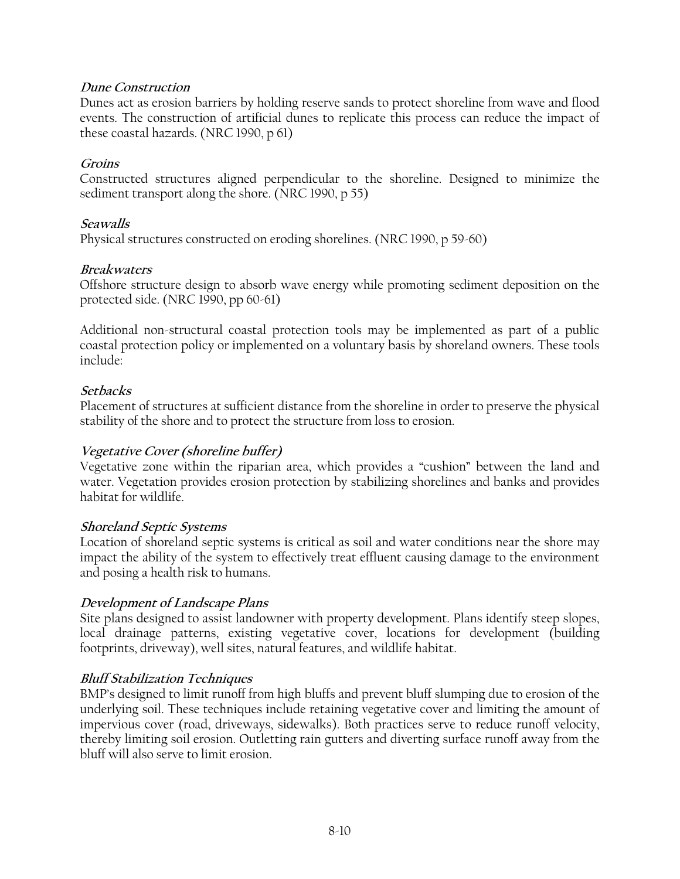# **Dune Construction**

Dunes act as erosion barriers by holding reserve sands to protect shoreline from wave and flood events. The construction of artificial dunes to replicate this process can reduce the impact of these coastal hazards. (NRC 1990, p 61)

# **Groins**

Constructed structures aligned perpendicular to the shoreline. Designed to minimize the sediment transport along the shore. (NRC 1990, p 55)

## **Seawalls**

Physical structures constructed on eroding shorelines. (NRC 1990, p 59-60)

# **Breakwaters**

Offshore structure design to absorb wave energy while promoting sediment deposition on the protected side. (NRC 1990, pp 60-61)

Additional non-structural coastal protection tools may be implemented as part of a public coastal protection policy or implemented on a voluntary basis by shoreland owners. These tools include:

# **Setbacks**

Placement of structures at sufficient distance from the shoreline in order to preserve the physical stability of the shore and to protect the structure from loss to erosion.

# **Vegetative Cover (shoreline buffer)**

Vegetative zone within the riparian area, which provides a "cushion" between the land and water. Vegetation provides erosion protection by stabilizing shorelines and banks and provides habitat for wildlife.

#### **Shoreland Septic Systems**

Location of shoreland septic systems is critical as soil and water conditions near the shore may impact the ability of the system to effectively treat effluent causing damage to the environment and posing a health risk to humans.

#### **Development of Landscape Plans**

Site plans designed to assist landowner with property development. Plans identify steep slopes, local drainage patterns, existing vegetative cover, locations for development (building footprints, driveway), well sites, natural features, and wildlife habitat.

#### **Bluff Stabilization Techniques**

BMP's designed to limit runoff from high bluffs and prevent bluff slumping due to erosion of the underlying soil. These techniques include retaining vegetative cover and limiting the amount of impervious cover (road, driveways, sidewalks). Both practices serve to reduce runoff velocity, thereby limiting soil erosion. Outletting rain gutters and diverting surface runoff away from the bluff will also serve to limit erosion.